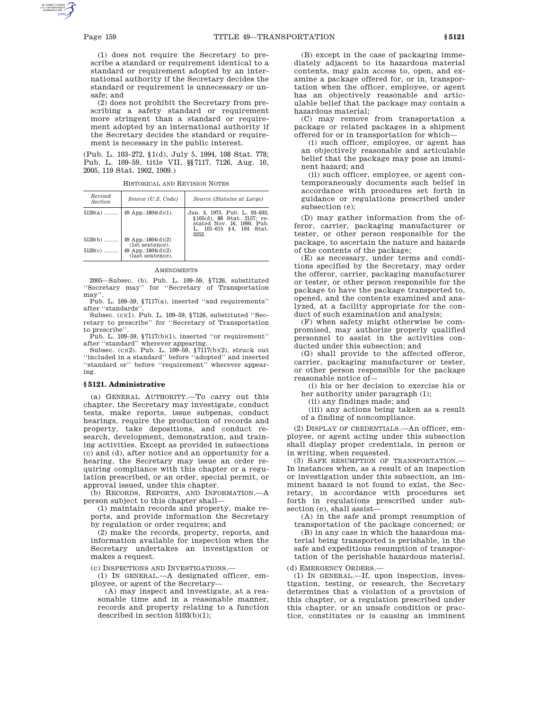(1) does not require the Secretary to prescribe a standard or requirement identical to a standard or requirement adopted by an international authority if the Secretary decides the standard or requirement is unnecessary or unsafe; and

(2) does not prohibit the Secretary from prescribing a safety standard or requirement more stringent than a standard or requirement adopted by an international authority if the Secretary decides the standard or requirement is necessary in the public interest.

(Pub. L. 103–272, §1(d), July 5, 1994, 108 Stat. 778; Pub. L. 109–59, title VII, §§7117, 7126, Aug. 10, 2005, 119 Stat. 1902, 1909.)

| Revised<br><b>Section</b> | Source (U.S. Code)                                                                    | Source (Statutes at Large)                                                                                                      |
|---------------------------|---------------------------------------------------------------------------------------|---------------------------------------------------------------------------------------------------------------------------------|
|                           | $5120(a)$   49 App.:1804(d)(1).                                                       | Jan. 3, 1975, Pub. L. 93–633,<br>§105(d), 88 Stat. 2157; re-<br>stated Nov. 16, 1990, Pub.<br>L. 101–615 §4. 104 Stat.<br>3252. |
| $5120(b)$<br>$5120(c)$    | 49 App.:1804 $(d)(2)$<br>(1st sentence).<br>49 App.:1804 $(d)(2)$<br>(last sentence). |                                                                                                                                 |

HISTORICAL AND REVISION NOTES

#### **AMENDMENTS**

2005—Subsec. (b). Pub. L. 109–59, §7126, substituted ''Secretary may'' for ''Secretary of Transportation may''.

Pub. L. 109–59, §7117(a), inserted ''and requirements'' after ''standards''.

Subsec. (c)(1). Pub. L. 109–59, §7126, substituted ''Secretary to prescribe'' for ''Secretary of Transportation to prescribe''.

Pub. L. 109–59, §7117(b)(1), inserted ''or requirement'' after ''standard'' wherever appearing.

Subsec.  $(c)(2)$ . Pub. L. 109–59, §7117(b)(2), struck out ''included in a standard'' before ''adopted'' and inserted "standard or" before "requirement" wherever appearing.

## **§ 5121. Administrative**

(a) GENERAL AUTHORITY.—To carry out this chapter, the Secretary may investigate, conduct tests, make reports, issue subpenas, conduct hearings, require the production of records and property, take depositions, and conduct research, development, demonstration, and training activities. Except as provided in subsections (c) and (d), after notice and an opportunity for a hearing, the Secretary may issue an order requiring compliance with this chapter or a regulation prescribed, or an order, special permit, or approval issued, under this chapter.

(b) RECORDS, REPORTS, AND INFORMATION.—A person subject to this chapter shall—

(1) maintain records and property, make reports, and provide information the Secretary by regulation or order requires; and

(2) make the records, property, reports, and information available for inspection when the Secretary undertakes an investigation or makes a request.

(c) INSPECTIONS AND INVESTIGATIONS.—

(1) IN GENERAL.—A designated officer, employee, or agent of the Secretary—

(A) may inspect and investigate, at a reasonable time and in a reasonable manner, records and property relating to a function described in section 5103(b)(1);

(B) except in the case of packaging immediately adjacent to its hazardous material contents, may gain access to, open, and examine a package offered for, or in, transportation when the officer, employee, or agent has an objectively reasonable and articulable belief that the package may contain a hazardous material;

(C) may remove from transportation a package or related packages in a shipment offered for or in transportation for which—

(i) such officer, employee, or agent has an objectively reasonable and articulable belief that the package may pose an imminent hazard; and

(ii) such officer, employee, or agent contemporaneously documents such belief in accordance with procedures set forth in guidance or regulations prescribed under subsection (e);

(D) may gather information from the offeror, carrier, packaging manufacturer or tester, or other person responsible for the package, to ascertain the nature and hazards of the contents of the package;

(E) as necessary, under terms and conditions specified by the Secretary, may order the offeror, carrier, packaging manufacturer or tester, or other person responsible for the package to have the package transported to, opened, and the contents examined and analyzed, at a facility appropriate for the conduct of such examination and analysis;

(F) when safety might otherwise be compromised, may authorize properly qualified personnel to assist in the activities conducted under this subsection; and

(G) shall provide to the affected offeror, carrier, packaging manufacturer or tester, or other person responsible for the package reasonable notice of—

(i) his or her decision to exercise his or her authority under paragraph (1);

(ii) any findings made; and

(iii) any actions being taken as a result of a finding of noncompliance.

(2) DISPLAY OF CREDENTIALS.—An officer, employee, or agent acting under this subsection shall display proper credentials, in person or in writing, when requested.

(3) SAFE RESUMPTION OF TRANSPORTATION.— In instances when, as a result of an inspection or investigation under this subsection, an imminent hazard is not found to exist, the Secretary, in accordance with procedures set forth in regulations prescribed under subsection (e), shall assist—

(A) in the safe and prompt resumption of transportation of the package concerned; or (B) in any case in which the hazardous material being transported is perishable, in the

safe and expeditious resumption of transportation of the perishable hazardous material.

(d) EMERGENCY ORDERS.—

(1) IN GENERAL.—If, upon inspection, investigation, testing, or research, the Secretary determines that a violation of a provision of this chapter, or a regulation prescribed under this chapter, or an unsafe condition or practice, constitutes or is causing an imminent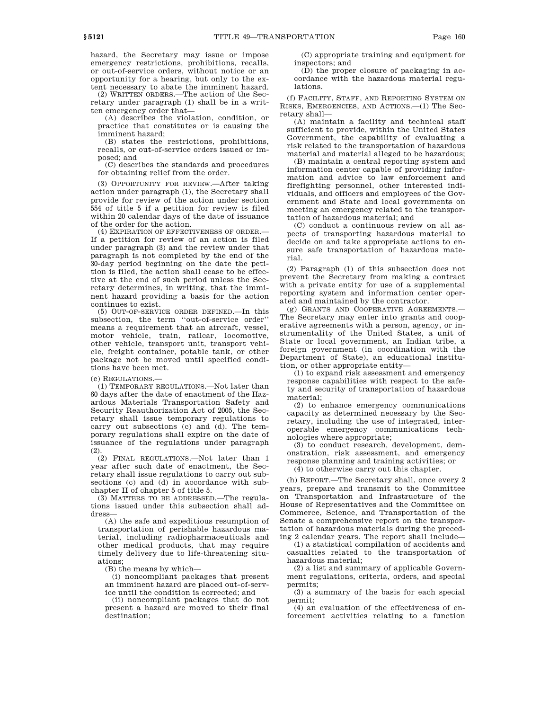hazard, the Secretary may issue or impose emergency restrictions, prohibitions, recalls, or out-of-service orders, without notice or an opportunity for a hearing, but only to the extent necessary to abate the imminent hazard.

(2) WRITTEN ORDERS.—The action of the Secretary under paragraph (1) shall be in a written emergency order that—

(A) describes the violation, condition, or practice that constitutes or is causing the imminent hazard;

(B) states the restrictions, prohibitions, recalls, or out-of-service orders issued or imposed; and

(C) describes the standards and procedures for obtaining relief from the order.

(3) OPPORTUNITY FOR REVIEW.—After taking action under paragraph (1), the Secretary shall provide for review of the action under section 554 of title 5 if a petition for review is filed within 20 calendar days of the date of issuance of the order for the action.

(4) EXPIRATION OF EFFECTIVENESS OF ORDER.— If a petition for review of an action is filed under paragraph (3) and the review under that paragraph is not completed by the end of the 30-day period beginning on the date the petition is filed, the action shall cease to be effective at the end of such period unless the Secretary determines, in writing, that the imminent hazard providing a basis for the action continues to exist.

(5) OUT-OF-SERVICE ORDER DEFINED.—In this subsection, the term ''out-of-service order'' means a requirement that an aircraft, vessel, motor vehicle, train, railcar, locomotive, other vehicle, transport unit, transport vehicle, freight container, potable tank, or other package not be moved until specified conditions have been met.

(e) REGULATIONS.—

(1) TEMPORARY REGULATIONS.—Not later than 60 days after the date of enactment of the Hazardous Materials Transportation Safety and Security Reauthorization Act of 2005, the Secretary shall issue temporary regulations to carry out subsections (c) and (d). The temporary regulations shall expire on the date of issuance of the regulations under paragraph (2).

(2) FINAL REGULATIONS.—Not later than 1 year after such date of enactment, the Secretary shall issue regulations to carry out subsections (c) and (d) in accordance with subchapter II of chapter 5 of title 5.

(3) MATTERS TO BE ADDRESSED.—The regulations issued under this subsection shall address—

(A) the safe and expeditious resumption of transportation of perishable hazardous material, including radiopharmaceuticals and other medical products, that may require timely delivery due to life-threatening situations;

(B) the means by which—

(i) noncompliant packages that present an imminent hazard are placed out-of-service until the condition is corrected; and

(ii) noncompliant packages that do not present a hazard are moved to their final destination;

(C) appropriate training and equipment for inspectors; and

(D) the proper closure of packaging in accordance with the hazardous material regulations.

(f) FACILITY, STAFF, AND REPORTING SYSTEM ON RISKS, EMERGENCIES, AND ACTIONS.—(1) The Secretary shall—

(A) maintain a facility and technical staff sufficient to provide, within the United States Government, the capability of evaluating a risk related to the transportation of hazardous material and material alleged to be hazardous;

(B) maintain a central reporting system and information center capable of providing information and advice to law enforcement and firefighting personnel, other interested individuals, and officers and employees of the Government and State and local governments on meeting an emergency related to the transportation of hazardous material; and

(C) conduct a continuous review on all aspects of transporting hazardous material to decide on and take appropriate actions to ensure safe transportation of hazardous material.

(2) Paragraph (1) of this subsection does not prevent the Secretary from making a contract with a private entity for use of a supplemental reporting system and information center operated and maintained by the contractor.

(g) GRANTS AND COOPERATIVE AGREEMENTS.— The Secretary may enter into grants and cooperative agreements with a person, agency, or instrumentality of the United States, a unit of State or local government, an Indian tribe, a foreign government (in coordination with the Department of State), an educational institution, or other appropriate entity—

(1) to expand risk assessment and emergency response capabilities with respect to the safety and security of transportation of hazardous material;

(2) to enhance emergency communications capacity as determined necessary by the Secretary, including the use of integrated, interoperable emergency communications technologies where appropriate;

(3) to conduct research, development, demonstration, risk assessment, and emergency response planning and training activities; or

(4) to otherwise carry out this chapter.

(h) REPORT.—The Secretary shall, once every 2 years, prepare and transmit to the Committee on Transportation and Infrastructure of the House of Representatives and the Committee on Commerce, Science, and Transportation of the Senate a comprehensive report on the transportation of hazardous materials during the preceding 2 calendar years. The report shall include—

(1) a statistical compilation of accidents and casualties related to the transportation of hazardous material;

(2) a list and summary of applicable Government regulations, criteria, orders, and special permits;

(3) a summary of the basis for each special permit;

(4) an evaluation of the effectiveness of enforcement activities relating to a function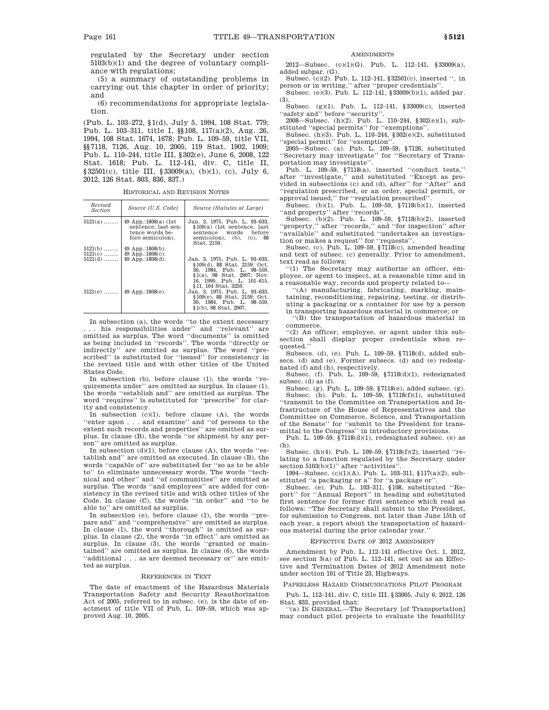regulated by the Secretary under section 5103(b)(1) and the degree of voluntary compliance with regulations;

(5) a summary of outstanding problems in carrying out this chapter in order of priority; and

(6) recommendations for appropriate legislation.

(Pub. L. 103–272, §1(d), July 5, 1994, 108 Stat. 779; Pub. L. 103–311, title I, §§108, 117(a)(2), Aug. 26, 1994, 108 Stat. 1674, 1678; Pub. L. 109–59, title VII, §§7118, 7126, Aug. 10, 2005, 119 Stat. 1902, 1909; Pub. L. 110–244, title III, §302(e), June 6, 2008, 122 Stat. 1618; Pub. L. 112–141, div. C, title II, §32501(c), title III, §33009(a), (b)(1), (c), July 6, 2012, 126 Stat. 803, 836, 837.)

HISTORICAL AND REVISION NOTES

| Revised<br><i>Section</i> | Source (U.S. Code)                                                                  | Source (Statutes at Large)                                                                                                                             |
|---------------------------|-------------------------------------------------------------------------------------|--------------------------------------------------------------------------------------------------------------------------------------------------------|
| $5121(a)$                 | 49 App.:1808(a) (1st)<br>sentence, last sen-<br>tence words be-<br>fore semicolon). | Jan. 3, 1975, Pub. L. 93–633,<br>§109(a) (1st sentence, last<br>sentence words before<br>semicolon), $(b)$ , $(c)$ , 88<br>Stat. 2159.                 |
| $5121(b)$<br>$5121(c)$    | $49$ App.:1808(b).<br>49 App.:1808 $(c)$ .                                          |                                                                                                                                                        |
| $5121(d)$                 | 49 App.:1808(d).                                                                    | Jan. 3, 1975. Pub. L. 93-633.<br>§109(d), 88 Stat. 2159; Oct.<br>30, 1984, Pub. L. 98-559,<br>§1(a), 98 Stat, 2907: Nov.<br>16. 1990. Pub. L. 101-615. |
| $5121(e)$                 | $49$ App.:1808(e).                                                                  | §11.104 Stat.3259.<br>Jan. 3, 1975. Pub. L. 93-633.<br>§109(e), 88 Stat. 2159; Oct.<br>30, 1984, Pub. L. 98-559,<br>§1(b), 98 Stat, 2907.              |

In subsection (a), the words ''to the extent necessary . . . his responsibilities under'' and ''relevant'' are omitted as surplus. The word ''documents'' is omitted as being included in ''records''. The words ''directly or indirectly'' are omitted as surplus. The word ''prescribed'' is substituted for ''issued'' for consistency in the revised title and with other titles of the United States Code.

In subsection (b), before clause (1), the words ''requirements under'' are omitted as surplus. In clause (1), the words ''establish and'' are omitted as surplus. The word ''requires'' is substituted for ''prescribe'' for clarity and consistency.

In subsection  $(c)(1)$ , before clause  $(A)$ , the words ''enter upon . . . and examine'' and ''of persons to the extent such records and properties'' are omitted as surplus. In clause (B), the words ''or shipment by any person'' are omitted as surplus.

In subsection (d)(1), before clause (A), the words ''establish and'' are omitted as executed. In clause (B), the words ''capable of'' are substituted for ''so as to be able to'' to eliminate unnecessary words. The words ''technical and other'' and ''of communities'' are omitted as surplus. The words ''and employees'' are added for consistency in the revised title and with other titles of the Code. In clause (C), the words ''in order'' and ''to be able to'' are omitted as surplus.

In subsection (e), before clause (1), the words ''prepare and'' and ''comprehensive'' are omitted as surplus. In clause (1), the word ''thorough'' is omitted as surplus. In clause (2), the words ''in effect'' are omitted as surplus. In clause (3), the words ''granted or maintained'' are omitted as surplus. In clause (6), the words ''additional . . . as are deemed necessary or'' are omitted as surplus.

## REFERENCES IN TEXT

The date of enactment of the Hazardous Materials Transportation Safety and Security Reauthorization Act of 2005, referred to in subsec. (e), is the date of enactment of title VII of Pub. L. 109–59, which was approved Aug. 10, 2005.

### **AMENDMENTS**

2012—Subsec.  $(c)(1)(G)$ . Pub. L. 112–141, §33009(a), added subpar. (G).

Subsec. (c)(2). Pub. L. 112–141, §32501(c), inserted '', in

person or in writing,'' after ''proper credentials''. Subsec. (e)(3). Pub. L. 112–141, §33009(b)(1), added par. (3).

Subsec. (g)(1). Pub. L. 112–141, §33009(c), inserted ''safety and'' before ''security''.

2008—Subsec. (h)(2). Pub. L. 110–244, §302(e)(1), substituted ''special permits'' for ''exemptions''. Subsec. (h)(3). Pub. L. 110–244, §302(e)(2), substituted

''special permit'' for ''exemption''.

2005—Subsec. (a). Pub. L. 109–59, §7126, substituted ''Secretary may investigate'' for ''Secretary of Transportation may investigate''.

Pub. L. 109–59, §7118(a), inserted ''conduct tests,'' after ''investigate,'' and substituted ''Except as provided in subsections (c) and (d), after'' for ''After'' and ''regulation prescribed, or an order, special permit, or approval issued,'' for ''regulation prescribed''.

Subsec. (b)(1). Pub.  $\tilde{L}$ . 109-59, §7118(b)(1), inserted ''and property'' after ''records''.

Subsec. (b)(2). Pub. L. 109–59, §7118(b)(2), inserted ''property,'' after ''records,'' and ''for inspection'' after ''available'' and substituted ''undertakes an investigation or makes a request'' for ''requests''.

Subsec. (c). Pub. L.  $109-59$ ,  $$7118(c)$ , amended heading and text of subsec. (c) generally. Prior to amendment, text read as follows:

''(1) The Secretary may authorize an officer, employee, or agent to inspect, at a reasonable time and in a reasonable way, records and property related to—

''(A) manufacturing, fabricating, marking, maintaining, reconditioning, repairing, testing, or distributing a packaging or a container for use by a person in transporting hazardous material in commerce; or

''(B) the transportation of hazardous material in commerce.

''(2) An officer, employee, or agent under this subsection shall display proper credentials when requested.''

Subsecs. (d), (e). Pub. L. 109–59, §7118(d), added subsecs. (d) and (e). Former subsecs. (d) and (e) redesignated (f) and (h), respectively.

Subsec. (f). Pub. L. 109–59, §7118(d)(1), redesignated subsec. (d) as (f).

Subsec. (g). Pub. L. 109–59, §7118(e), added subsec. (g). Subsec. (h). Pub. L. 109–59, §7118(f)(1), substituted ''transmit to the Committee on Transportation and Infrastructure of the House of Representatives and the Committee on Commerce, Science, and Transportation of the Senate'' for ''submit to the President for transmittal to the Congress'' in introductory provisions.

Pub. L.  $109-59$ ,  $$7118(d)(1)$ , redesignated subsec. (e) as (h).

Subsec. (h)(4). Pub. L. 109–59, §7118(f)(2), inserted ''relating to a function regulated by the Secretary under section 5103(b)(1)" after "activities".

1994—Subsec. (c)(1)(A). Pub. L. 103–311, §117(a)(2), substituted ''a packaging or a'' for ''a package or''.

Subsec. (e). Pub. L. 103–311, §108, substituted ''Report'' for ''Annual Report'' in heading and substituted first sentence for former first sentence which read as follows: ''The Secretary shall submit to the President, for submission to Congress, not later than June 15th of each year, a report about the transportation of hazardous material during the prior calendar year.''

# EFFECTIVE DATE OF 2012 AMENDMENT

Amendment by Pub. L. 112–141 effective Oct. 1, 2012, see section 3(a) of Pub. L. 112–141, set out as an Effective and Termination Dates of 2012 Amendment note under section 101 of Title 23, Highways.

### PAPERLESS HAZARD COMMUNICATIONS PILOT PROGRAM

Pub. L. 112–141, div. C, title III, §33005, July 6, 2012, 126 Stat. 833, provided that:

''(a) IN GENERAL.—The Secretary [of Transportation] may conduct pilot projects to evaluate the feasibility